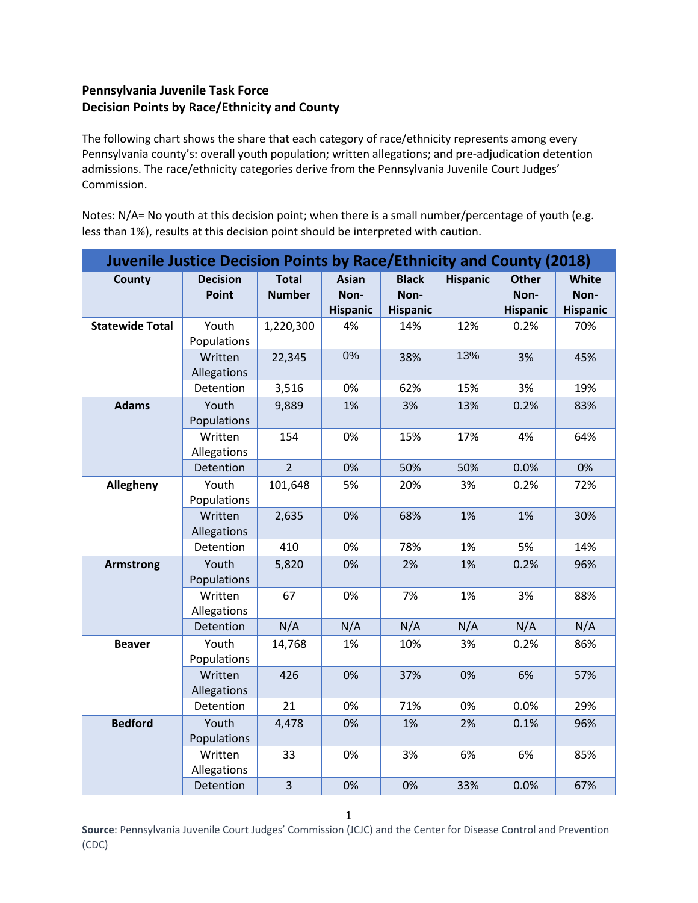## **Pennsylvania Juvenile Task Force Decision Points by Race/Ethnicity and County**

The following chart shows the share that each category of race/ethnicity represents among every Pennsylvania county's: overall youth population; written allegations; and pre-adjudication detention admissions. The race/ethnicity categories derive from the Pennsylvania Juvenile Court Judges' Commission.

Notes: N/A= No youth at this decision point; when there is a small number/percentage of youth (e.g. less than 1%), results at this decision point should be interpreted with caution.

| <b>Juvenile Justice Decision Points by Race/Ethnicity and County (2018)</b> |                          |                               |                                         |                                         |                 |                                         |                                         |  |  |
|-----------------------------------------------------------------------------|--------------------------|-------------------------------|-----------------------------------------|-----------------------------------------|-----------------|-----------------------------------------|-----------------------------------------|--|--|
| County                                                                      | <b>Decision</b><br>Point | <b>Total</b><br><b>Number</b> | <b>Asian</b><br>Non-<br><b>Hispanic</b> | <b>Black</b><br>Non-<br><b>Hispanic</b> | <b>Hispanic</b> | <b>Other</b><br>Non-<br><b>Hispanic</b> | <b>White</b><br>Non-<br><b>Hispanic</b> |  |  |
| <b>Statewide Total</b>                                                      | Youth<br>Populations     | 1,220,300                     | 4%                                      | 14%                                     | 12%             | 0.2%                                    | 70%                                     |  |  |
|                                                                             | Written<br>Allegations   | 22,345                        | 0%                                      | 38%                                     | 13%             | 3%                                      | 45%                                     |  |  |
|                                                                             | Detention                | 3,516                         | 0%                                      | 62%                                     | 15%             | 3%                                      | 19%                                     |  |  |
| <b>Adams</b>                                                                | Youth<br>Populations     | 9,889                         | 1%                                      | 3%                                      | 13%             | 0.2%                                    | 83%                                     |  |  |
|                                                                             | Written<br>Allegations   | 154                           | 0%                                      | 15%                                     | 17%             | 4%                                      | 64%                                     |  |  |
|                                                                             | Detention                | $\overline{2}$                | 0%                                      | 50%                                     | 50%             | 0.0%                                    | 0%                                      |  |  |
| Allegheny                                                                   | Youth<br>Populations     | 101,648                       | 5%                                      | 20%                                     | 3%              | 0.2%                                    | 72%                                     |  |  |
|                                                                             | Written<br>Allegations   | 2,635                         | 0%                                      | 68%                                     | 1%              | 1%                                      | 30%                                     |  |  |
|                                                                             | Detention                | 410                           | 0%                                      | 78%                                     | 1%              | 5%                                      | 14%                                     |  |  |
| <b>Armstrong</b>                                                            | Youth<br>Populations     | 5,820                         | 0%                                      | 2%                                      | 1%              | 0.2%                                    | 96%                                     |  |  |
|                                                                             | Written<br>Allegations   | 67                            | 0%                                      | 7%                                      | 1%              | 3%                                      | 88%                                     |  |  |
|                                                                             | Detention                | N/A                           | N/A                                     | N/A                                     | N/A             | N/A                                     | N/A                                     |  |  |
| <b>Beaver</b>                                                               | Youth<br>Populations     | 14,768                        | 1%                                      | 10%                                     | 3%              | 0.2%                                    | 86%                                     |  |  |
|                                                                             | Written<br>Allegations   | 426                           | 0%                                      | 37%                                     | 0%              | 6%                                      | 57%                                     |  |  |
|                                                                             | Detention                | 21                            | 0%                                      | 71%                                     | 0%              | 0.0%                                    | 29%                                     |  |  |
| <b>Bedford</b>                                                              | Youth<br>Populations     | 4,478                         | 0%                                      | 1%                                      | 2%              | 0.1%                                    | 96%                                     |  |  |
|                                                                             | Written<br>Allegations   | 33                            | 0%                                      | 3%                                      | 6%              | 6%                                      | 85%                                     |  |  |
|                                                                             | Detention                | 3                             | 0%                                      | 0%                                      | 33%             | 0.0%                                    | 67%                                     |  |  |

1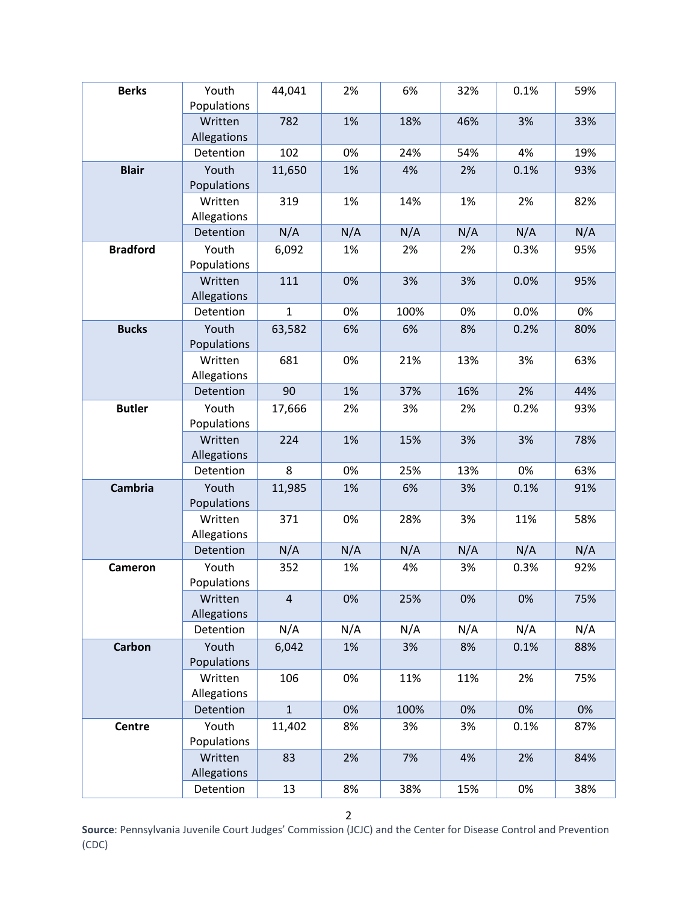| <b>Berks</b>    | Youth<br>Populations   | 44,041         | 2%  | 6%   | 32% | 0.1% | 59% |
|-----------------|------------------------|----------------|-----|------|-----|------|-----|
|                 | Written<br>Allegations | 782            | 1%  | 18%  | 46% | 3%   | 33% |
|                 | Detention              | 102            | 0%  | 24%  | 54% | 4%   | 19% |
| <b>Blair</b>    | Youth<br>Populations   | 11,650         | 1%  | 4%   | 2%  | 0.1% | 93% |
|                 | Written<br>Allegations | 319            | 1%  | 14%  | 1%  | 2%   | 82% |
|                 | Detention              | N/A            | N/A | N/A  | N/A | N/A  | N/A |
| <b>Bradford</b> | Youth<br>Populations   | 6,092          | 1%  | 2%   | 2%  | 0.3% | 95% |
|                 | Written<br>Allegations | 111            | 0%  | 3%   | 3%  | 0.0% | 95% |
|                 | Detention              | $\mathbf{1}$   | 0%  | 100% | 0%  | 0.0% | 0%  |
| <b>Bucks</b>    | Youth<br>Populations   | 63,582         | 6%  | 6%   | 8%  | 0.2% | 80% |
|                 | Written<br>Allegations | 681            | 0%  | 21%  | 13% | 3%   | 63% |
|                 | Detention              | 90             | 1%  | 37%  | 16% | 2%   | 44% |
| <b>Butler</b>   | Youth<br>Populations   | 17,666         | 2%  | 3%   | 2%  | 0.2% | 93% |
|                 | Written<br>Allegations | 224            | 1%  | 15%  | 3%  | 3%   | 78% |
|                 | Detention              | 8              | 0%  | 25%  | 13% | 0%   | 63% |
| <b>Cambria</b>  | Youth<br>Populations   | 11,985         | 1%  | 6%   | 3%  | 0.1% | 91% |
|                 | Written<br>Allegations | 371            | 0%  | 28%  | 3%  | 11%  | 58% |
|                 | Detention              | N/A            | N/A | N/A  | N/A | N/A  | N/A |
| <b>Cameron</b>  | Youth<br>Populations   | 352            | 1%  | 4%   | 3%  | 0.3% | 92% |
|                 | Written<br>Allegations | $\overline{4}$ | 0%  | 25%  | 0%  | 0%   | 75% |
|                 | Detention              | N/A            | N/A | N/A  | N/A | N/A  | N/A |
| <b>Carbon</b>   | Youth<br>Populations   | 6,042          | 1%  | 3%   | 8%  | 0.1% | 88% |
|                 | Written<br>Allegations | 106            | 0%  | 11%  | 11% | 2%   | 75% |
|                 | Detention              | $\mathbf{1}$   | 0%  | 100% | 0%  | 0%   | 0%  |
| <b>Centre</b>   | Youth<br>Populations   | 11,402         | 8%  | 3%   | 3%  | 0.1% | 87% |
|                 | Written<br>Allegations | 83             | 2%  | 7%   | 4%  | 2%   | 84% |
|                 | Detention              | 13             | 8%  | 38%  | 15% | 0%   | 38% |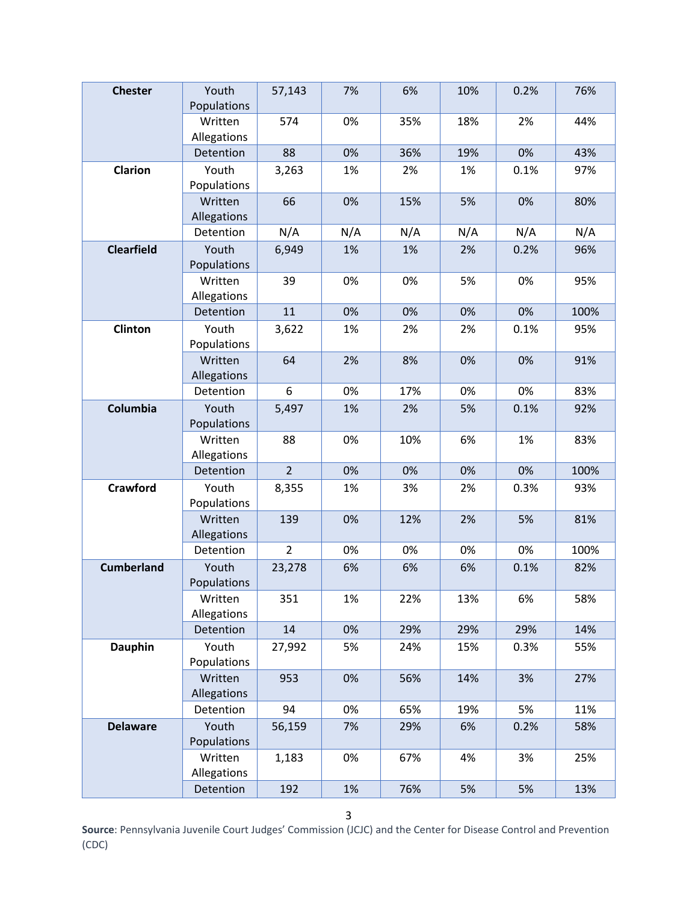| <b>Chester</b>    | Youth<br>Populations   | 57,143         | 7%  | 6%  | 10% | 0.2% | 76%  |
|-------------------|------------------------|----------------|-----|-----|-----|------|------|
|                   | Written<br>Allegations | 574            | 0%  | 35% | 18% | 2%   | 44%  |
|                   | Detention              | 88             | 0%  | 36% | 19% | 0%   | 43%  |
| <b>Clarion</b>    | Youth<br>Populations   | 3,263          | 1%  | 2%  | 1%  | 0.1% | 97%  |
|                   | Written<br>Allegations | 66             | 0%  | 15% | 5%  | 0%   | 80%  |
|                   | Detention              | N/A            | N/A | N/A | N/A | N/A  | N/A  |
| <b>Clearfield</b> | Youth<br>Populations   | 6,949          | 1%  | 1%  | 2%  | 0.2% | 96%  |
|                   | Written<br>Allegations | 39             | 0%  | 0%  | 5%  | 0%   | 95%  |
|                   | Detention              | 11             | 0%  | 0%  | 0%  | 0%   | 100% |
| Clinton           | Youth<br>Populations   | 3,622          | 1%  | 2%  | 2%  | 0.1% | 95%  |
|                   | Written<br>Allegations | 64             | 2%  | 8%  | 0%  | 0%   | 91%  |
|                   | Detention              | 6              | 0%  | 17% | 0%  | 0%   | 83%  |
| Columbia          | Youth<br>Populations   | 5,497          | 1%  | 2%  | 5%  | 0.1% | 92%  |
|                   | Written<br>Allegations | 88             | 0%  | 10% | 6%  | 1%   | 83%  |
|                   | Detention              | $\overline{2}$ | 0%  | 0%  | 0%  | 0%   | 100% |
| <b>Crawford</b>   | Youth<br>Populations   | 8,355          | 1%  | 3%  | 2%  | 0.3% | 93%  |
|                   | Written<br>Allegations | 139            | 0%  | 12% | 2%  | 5%   | 81%  |
|                   | Detention              | $\overline{2}$ | 0%  | 0%  | 0%  | 0%   | 100% |
| <b>Cumberland</b> | Youth<br>Populations   | 23,278         | 6%  | 6%  | 6%  | 0.1% | 82%  |
|                   | Written<br>Allegations | 351            | 1%  | 22% | 13% | 6%   | 58%  |
|                   | Detention              | 14             | 0%  | 29% | 29% | 29%  | 14%  |
| <b>Dauphin</b>    | Youth<br>Populations   | 27,992         | 5%  | 24% | 15% | 0.3% | 55%  |
|                   | Written<br>Allegations | 953            | 0%  | 56% | 14% | 3%   | 27%  |
|                   | Detention              | 94             | 0%  | 65% | 19% | 5%   | 11%  |
| <b>Delaware</b>   | Youth<br>Populations   | 56,159         | 7%  | 29% | 6%  | 0.2% | 58%  |
|                   | Written<br>Allegations | 1,183          | 0%  | 67% | 4%  | 3%   | 25%  |
|                   | Detention              | 192            | 1%  | 76% | 5%  | 5%   | 13%  |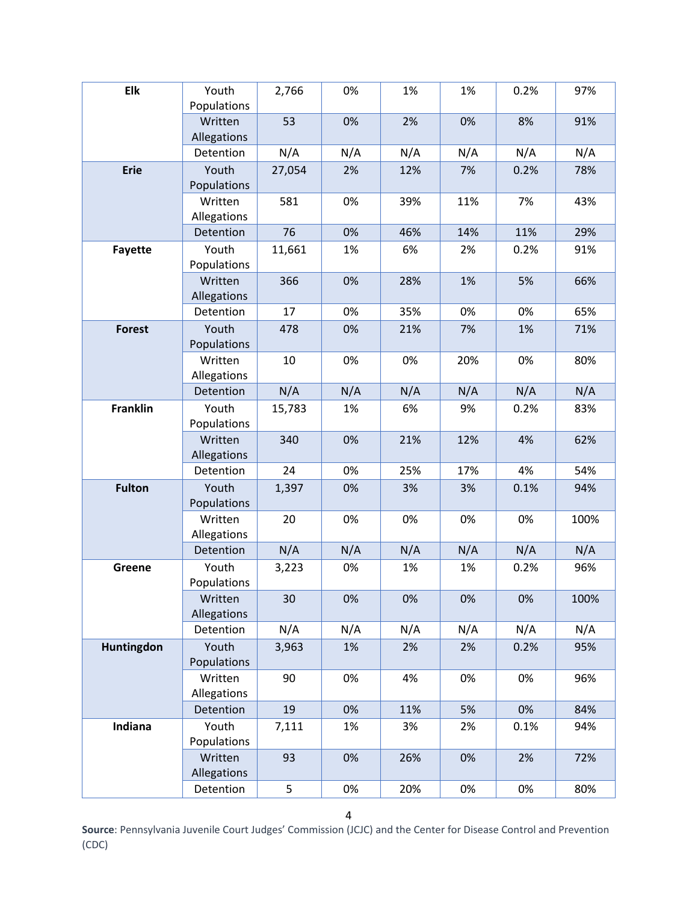| Elk             | Youth                  | 2,766  | 0%  | 1%  | 1%  | 0.2% | 97%  |
|-----------------|------------------------|--------|-----|-----|-----|------|------|
|                 | Populations            |        |     |     |     |      |      |
|                 | Written<br>Allegations | 53     | 0%  | 2%  | 0%  | 8%   | 91%  |
|                 | Detention              | N/A    | N/A | N/A | N/A | N/A  | N/A  |
| <b>Erie</b>     | Youth<br>Populations   | 27,054 | 2%  | 12% | 7%  | 0.2% | 78%  |
|                 | Written<br>Allegations | 581    | 0%  | 39% | 11% | 7%   | 43%  |
|                 | Detention              | 76     | 0%  | 46% | 14% | 11%  | 29%  |
| <b>Fayette</b>  | Youth<br>Populations   | 11,661 | 1%  | 6%  | 2%  | 0.2% | 91%  |
|                 | Written<br>Allegations | 366    | 0%  | 28% | 1%  | 5%   | 66%  |
|                 | Detention              | 17     | 0%  | 35% | 0%  | 0%   | 65%  |
| <b>Forest</b>   | Youth<br>Populations   | 478    | 0%  | 21% | 7%  | 1%   | 71%  |
|                 | Written<br>Allegations | 10     | 0%  | 0%  | 20% | 0%   | 80%  |
|                 | Detention              | N/A    | N/A | N/A | N/A | N/A  | N/A  |
| <b>Franklin</b> | Youth<br>Populations   | 15,783 | 1%  | 6%  | 9%  | 0.2% | 83%  |
|                 | Written<br>Allegations | 340    | 0%  | 21% | 12% | 4%   | 62%  |
|                 | Detention              | 24     | 0%  | 25% | 17% | 4%   | 54%  |
| <b>Fulton</b>   | Youth<br>Populations   | 1,397  | 0%  | 3%  | 3%  | 0.1% | 94%  |
|                 | Written<br>Allegations | 20     | 0%  | 0%  | 0%  | 0%   | 100% |
|                 | Detention              | N/A    | N/A | N/A | N/A | N/A  | N/A  |
| Greene          | Youth<br>Populations   | 3,223  | 0%  | 1%  | 1%  | 0.2% | 96%  |
|                 | Written<br>Allegations | 30     | 0%  | 0%  | 0%  | 0%   | 100% |
|                 | Detention              | N/A    | N/A | N/A | N/A | N/A  | N/A  |
| Huntingdon      | Youth<br>Populations   | 3,963  | 1%  | 2%  | 2%  | 0.2% | 95%  |
|                 | Written<br>Allegations | 90     | 0%  | 4%  | 0%  | 0%   | 96%  |
|                 | Detention              | 19     | 0%  | 11% | 5%  | 0%   | 84%  |
| Indiana         | Youth<br>Populations   | 7,111  | 1%  | 3%  | 2%  | 0.1% | 94%  |
|                 | Written<br>Allegations | 93     | 0%  | 26% | 0%  | 2%   | 72%  |
|                 | Detention              | 5      | 0%  | 20% | 0%  | 0%   | 80%  |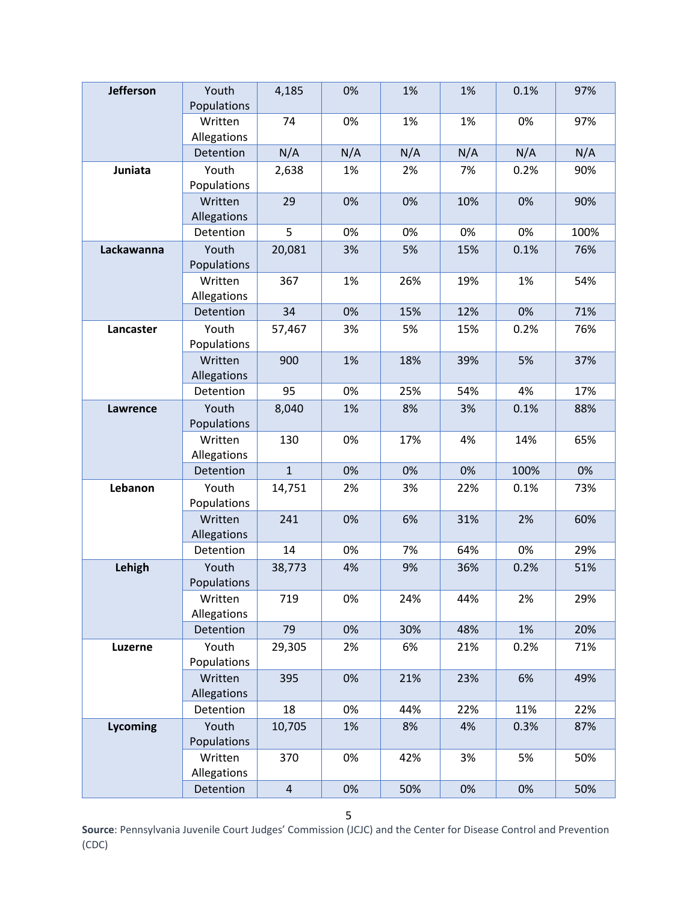| <b>Jefferson</b> | Youth<br>Populations   | 4,185          | 0%  | 1%  | 1%  | 0.1% | 97%  |
|------------------|------------------------|----------------|-----|-----|-----|------|------|
|                  | Written<br>Allegations | 74             | 0%  | 1%  | 1%  | 0%   | 97%  |
|                  | Detention              | N/A            | N/A | N/A | N/A | N/A  | N/A  |
| Juniata          | Youth<br>Populations   | 2,638          | 1%  | 2%  | 7%  | 0.2% | 90%  |
|                  | Written<br>Allegations | 29             | 0%  | 0%  | 10% | 0%   | 90%  |
|                  | Detention              | 5              | 0%  | 0%  | 0%  | 0%   | 100% |
| Lackawanna       | Youth<br>Populations   | 20,081         | 3%  | 5%  | 15% | 0.1% | 76%  |
|                  | Written<br>Allegations | 367            | 1%  | 26% | 19% | 1%   | 54%  |
|                  | Detention              | 34             | 0%  | 15% | 12% | 0%   | 71%  |
| Lancaster        | Youth<br>Populations   | 57,467         | 3%  | 5%  | 15% | 0.2% | 76%  |
|                  | Written<br>Allegations | 900            | 1%  | 18% | 39% | 5%   | 37%  |
|                  | Detention              | 95             | 0%  | 25% | 54% | 4%   | 17%  |
| Lawrence         | Youth<br>Populations   | 8,040          | 1%  | 8%  | 3%  | 0.1% | 88%  |
|                  | Written<br>Allegations | 130            | 0%  | 17% | 4%  | 14%  | 65%  |
|                  | Detention              | $\overline{1}$ | 0%  | 0%  | 0%  | 100% | 0%   |
| Lebanon          | Youth<br>Populations   | 14,751         | 2%  | 3%  | 22% | 0.1% | 73%  |
|                  | Written<br>Allegations | 241            | 0%  | 6%  | 31% | 2%   | 60%  |
|                  | Detention              | 14             | 0%  | 7%  | 64% | 0%   | 29%  |
| Lehigh           | Youth<br>Populations   | 38,773         | 4%  | 9%  | 36% | 0.2% | 51%  |
|                  | Written<br>Allegations | 719            | 0%  | 24% | 44% | 2%   | 29%  |
|                  | Detention              | 79             | 0%  | 30% | 48% | 1%   | 20%  |
| <b>Luzerne</b>   | Youth<br>Populations   | 29,305         | 2%  | 6%  | 21% | 0.2% | 71%  |
|                  | Written<br>Allegations | 395            | 0%  | 21% | 23% | 6%   | 49%  |
|                  | Detention              | 18             | 0%  | 44% | 22% | 11%  | 22%  |
| <b>Lycoming</b>  | Youth<br>Populations   | 10,705         | 1%  | 8%  | 4%  | 0.3% | 87%  |
|                  | Written<br>Allegations | 370            | 0%  | 42% | 3%  | 5%   | 50%  |
|                  | Detention              | $\overline{4}$ | 0%  | 50% | 0%  | 0%   | 50%  |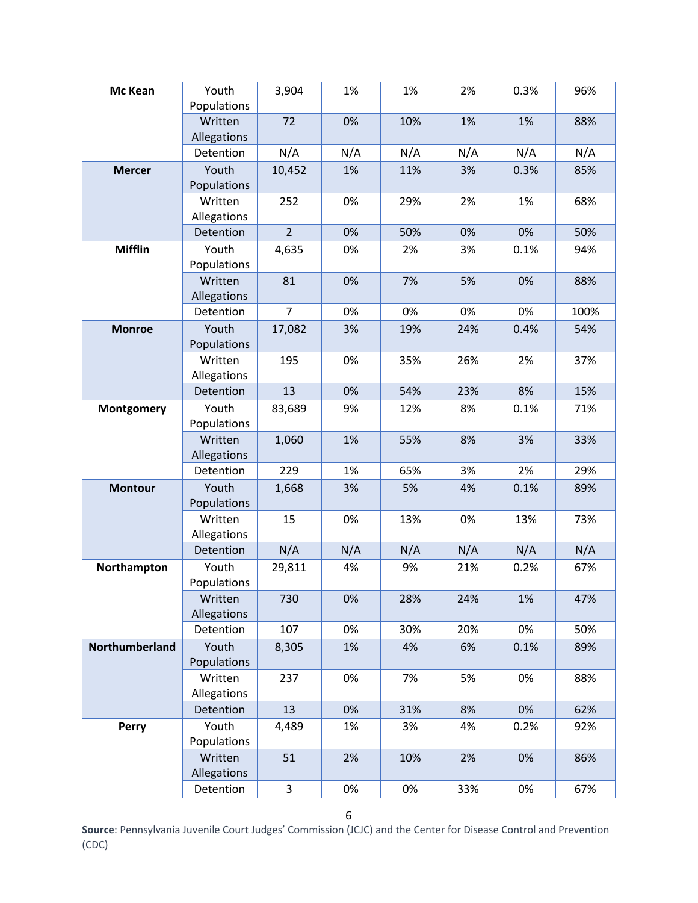| Mc Kean        | Youth<br>Populations   | 3,904          | 1%  | 1%  | 2%  | 0.3% | 96%  |
|----------------|------------------------|----------------|-----|-----|-----|------|------|
|                | Written<br>Allegations | 72             | 0%  | 10% | 1%  | 1%   | 88%  |
|                | Detention              | N/A            | N/A | N/A | N/A | N/A  | N/A  |
| <b>Mercer</b>  | Youth<br>Populations   | 10,452         | 1%  | 11% | 3%  | 0.3% | 85%  |
|                | Written<br>Allegations | 252            | 0%  | 29% | 2%  | 1%   | 68%  |
|                | Detention              | $\overline{2}$ | 0%  | 50% | 0%  | 0%   | 50%  |
| <b>Mifflin</b> | Youth<br>Populations   | 4,635          | 0%  | 2%  | 3%  | 0.1% | 94%  |
|                | Written<br>Allegations | 81             | 0%  | 7%  | 5%  | 0%   | 88%  |
|                | Detention              | $\overline{7}$ | 0%  | 0%  | 0%  | 0%   | 100% |
| <b>Monroe</b>  | Youth<br>Populations   | 17,082         | 3%  | 19% | 24% | 0.4% | 54%  |
|                | Written<br>Allegations | 195            | 0%  | 35% | 26% | 2%   | 37%  |
|                | Detention              | 13             | 0%  | 54% | 23% | 8%   | 15%  |
| Montgomery     | Youth<br>Populations   | 83,689         | 9%  | 12% | 8%  | 0.1% | 71%  |
|                | Written<br>Allegations | 1,060          | 1%  | 55% | 8%  | 3%   | 33%  |
|                | Detention              | 229            | 1%  | 65% | 3%  | 2%   | 29%  |
| <b>Montour</b> | Youth<br>Populations   | 1,668          | 3%  | 5%  | 4%  | 0.1% | 89%  |
|                | Written<br>Allegations | 15             | 0%  | 13% | 0%  | 13%  | 73%  |
|                | Detention              | N/A            | N/A | N/A | N/A | N/A  | N/A  |
| Northampton    | Youth<br>Populations   | 29,811         | 4%  | 9%  | 21% | 0.2% | 67%  |
|                | Written<br>Allegations | 730            | 0%  | 28% | 24% | 1%   | 47%  |
|                | Detention              | 107            | 0%  | 30% | 20% | 0%   | 50%  |
| Northumberland | Youth<br>Populations   | 8,305          | 1%  | 4%  | 6%  | 0.1% | 89%  |
|                | Written<br>Allegations | 237            | 0%  | 7%  | 5%  | 0%   | 88%  |
|                | Detention              | 13             | 0%  | 31% | 8%  | 0%   | 62%  |
| Perry          | Youth<br>Populations   | 4,489          | 1%  | 3%  | 4%  | 0.2% | 92%  |
|                | Written<br>Allegations | 51             | 2%  | 10% | 2%  | 0%   | 86%  |
|                | Detention              | 3              | 0%  | 0%  | 33% | 0%   | 67%  |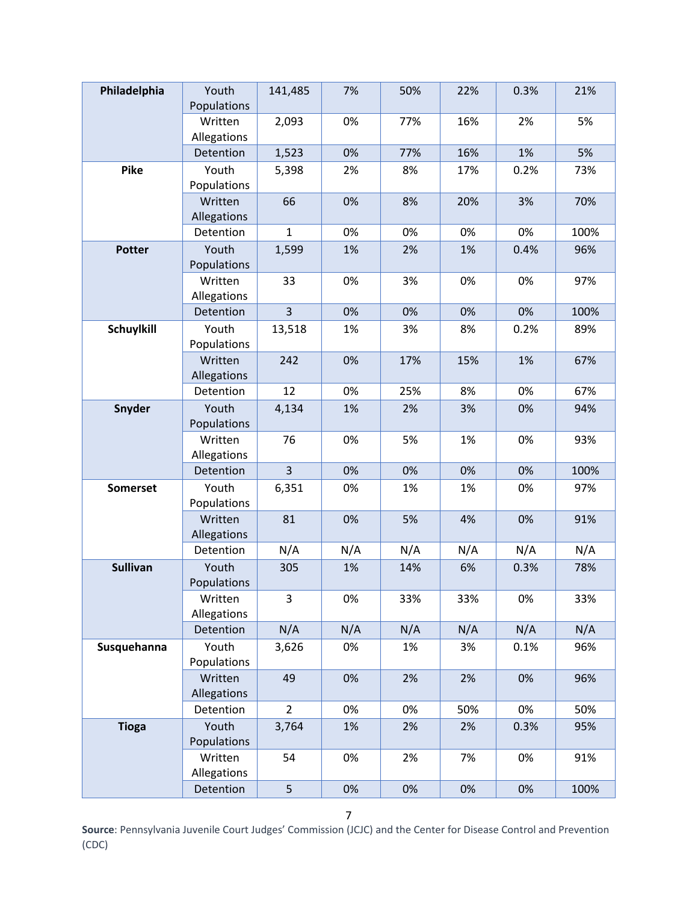| Philadelphia    | Youth<br>Populations   | 141,485        | 7%  | 50% | 22% | 0.3% | 21%  |
|-----------------|------------------------|----------------|-----|-----|-----|------|------|
|                 | Written<br>Allegations | 2,093          | 0%  | 77% | 16% | 2%   | 5%   |
|                 | Detention              | 1,523          | 0%  | 77% | 16% | 1%   | 5%   |
| Pike            | Youth<br>Populations   | 5,398          | 2%  | 8%  | 17% | 0.2% | 73%  |
|                 | Written<br>Allegations | 66             | 0%  | 8%  | 20% | 3%   | 70%  |
|                 | Detention              | $\mathbf{1}$   | 0%  | 0%  | 0%  | 0%   | 100% |
| <b>Potter</b>   | Youth<br>Populations   | 1,599          | 1%  | 2%  | 1%  | 0.4% | 96%  |
|                 | Written<br>Allegations | 33             | 0%  | 3%  | 0%  | 0%   | 97%  |
|                 | Detention              | $\overline{3}$ | 0%  | 0%  | 0%  | 0%   | 100% |
| Schuylkill      | Youth<br>Populations   | 13,518         | 1%  | 3%  | 8%  | 0.2% | 89%  |
|                 | Written<br>Allegations | 242            | 0%  | 17% | 15% | 1%   | 67%  |
|                 | Detention              | 12             | 0%  | 25% | 8%  | 0%   | 67%  |
| Snyder          | Youth<br>Populations   | 4,134          | 1%  | 2%  | 3%  | 0%   | 94%  |
|                 | Written<br>Allegations | 76             | 0%  | 5%  | 1%  | 0%   | 93%  |
|                 | Detention              | $\overline{3}$ | 0%  | 0%  | 0%  | 0%   | 100% |
| <b>Somerset</b> | Youth<br>Populations   | 6,351          | 0%  | 1%  | 1%  | 0%   | 97%  |
|                 | Written<br>Allegations | 81             | 0%  | 5%  | 4%  | 0%   | 91%  |
|                 | Detention              | N/A            | N/A | N/A | N/A | N/A  | N/A  |
| <b>Sullivan</b> | Youth<br>Populations   | 305            | 1%  | 14% | 6%  | 0.3% | 78%  |
|                 | Written<br>Allegations | 3              | 0%  | 33% | 33% | 0%   | 33%  |
|                 | Detention              | N/A            | N/A | N/A | N/A | N/A  | N/A  |
| Susquehanna     | Youth<br>Populations   | 3,626          | 0%  | 1%  | 3%  | 0.1% | 96%  |
|                 | Written<br>Allegations | 49             | 0%  | 2%  | 2%  | 0%   | 96%  |
|                 | Detention              | $\overline{2}$ | 0%  | 0%  | 50% | 0%   | 50%  |
| <b>Tioga</b>    | Youth<br>Populations   | 3,764          | 1%  | 2%  | 2%  | 0.3% | 95%  |
|                 | Written<br>Allegations | 54             | 0%  | 2%  | 7%  | 0%   | 91%  |
|                 | Detention              | 5              | 0%  | 0%  | 0%  | 0%   | 100% |